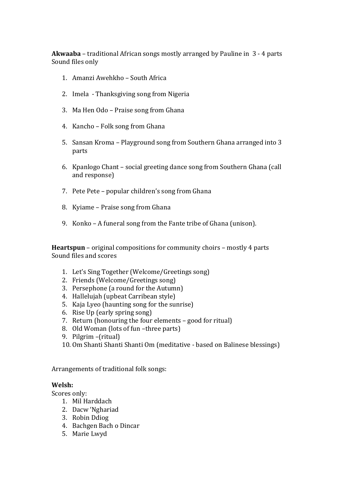**Akwaaba** – traditional African songs mostly arranged by Pauline in 3 - 4 parts Sound files only

- 1. Amanzi Awehkho South Africa
- 2. Imela Thanksgiving song from Nigeria
- 3. Ma Hen Odo Praise song from Ghana
- 4. Kancho Folk song from Ghana
- 5. Sansan Kroma Playground song from Southern Ghana arranged into 3 parts
- 6. Kpanlogo Chant social greeting dance song from Southern Ghana (call and response)
- 7. Pete Pete popular children's song from Ghana
- 8. Kyiame Praise song from Ghana
- 9. Konko A funeral song from the Fante tribe of Ghana (unison).

**Heartspun** – original compositions for community choirs – mostly 4 parts Sound files and scores

- 1. Let's Sing Together (Welcome/Greetings song)
- 2. Friends (Welcome/Greetings song)
- 3. Persephone (a round for the Autumn)
- 4. Hallelujah (upbeat Carribean style)
- 5. Kaja Lyeo (haunting song for the sunrise)
- 6. Rise Up (early spring song)
- 7. Return (honouring the four elements good for ritual)
- 8. Old Woman (lots of fun –three parts)
- 9. Pilgrim (ritual)
- 10. Om Shanti Shanti Shanti Om (meditative based on Balinese blessings)

Arrangements of traditional folk songs:

## **Welsh:**

- Scores only:
	- 1. Mil Harddach
	- 2. Dacw 'Nghariad
	- 3. Robin Ddiog
	- 4. Bachgen Bach o Dincar
	- 5. Marie Lwyd